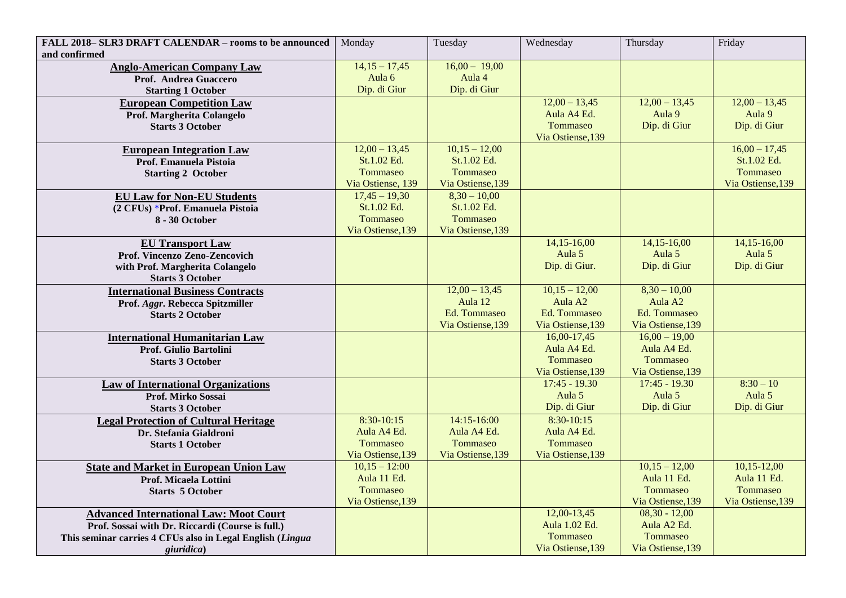| FALL 2018-SLR3 DRAFT CALENDAR - rooms to be announced                  | Monday                     | Tuesday            | Wednesday                      | Thursday                       | Friday            |
|------------------------------------------------------------------------|----------------------------|--------------------|--------------------------------|--------------------------------|-------------------|
| and confirmed                                                          |                            |                    |                                |                                |                   |
| <b>Anglo-American Company Law</b>                                      | $14,15 - 17,45$            | $16,00 - 19,00$    |                                |                                |                   |
| Prof. Andrea Guaccero                                                  | Aula <sub>6</sub>          | Aula 4             |                                |                                |                   |
| <b>Starting 1 October</b>                                              | Dip. di Giur               | Dip. di Giur       |                                |                                |                   |
| <b>European Competition Law</b>                                        |                            |                    | $12,00 - 13,45$                | $12,00 - 13,45$                | $12,00 - 13,45$   |
| Prof. Margherita Colangelo                                             |                            |                    | Aula A4 Ed.                    | Aula 9                         | Aula 9            |
| <b>Starts 3 October</b>                                                |                            |                    | Tommaseo                       | Dip. di Giur                   | Dip. di Giur      |
|                                                                        |                            |                    | Via Ostiense, 139              |                                |                   |
| <b>European Integration Law</b>                                        | $12,00 - 13,45$            | $10,15 - 12,00$    |                                |                                | $16,00 - 17,45$   |
| Prof. Emanuela Pistoia                                                 | St.1.02 Ed.                | St.1.02 Ed.        |                                |                                | St.1.02 Ed.       |
| <b>Starting 2 October</b>                                              | Tommaseo                   | Tommaseo           |                                |                                | Tommaseo          |
|                                                                        | Via Ostiense, 139          | Via Ostiense, 139  |                                |                                | Via Ostiense, 139 |
| <b>EU Law for Non-EU Students</b>                                      | $\overline{17,45} - 19,30$ | $8,30 - 10,00$     |                                |                                |                   |
| (2 CFUs) *Prof. Emanuela Pistoia                                       | St.1.02 Ed.                | St.1.02 Ed.        |                                |                                |                   |
| 8 - 30 October                                                         | Tommaseo                   | Tommaseo           |                                |                                |                   |
|                                                                        | Via Ostiense, 139          | Via Ostiense, 139  |                                |                                |                   |
| <b>EU Transport Law</b>                                                |                            |                    | $14,15-16,00$                  | 14,15-16,00                    | 14, 15 - 16, 00   |
| Prof. Vincenzo Zeno-Zencovich                                          |                            |                    | Aula 5                         | Aula 5                         | Aula 5            |
| with Prof. Margherita Colangelo                                        |                            |                    | Dip. di Giur.                  | Dip. di Giur                   | Dip. di Giur      |
| <b>Starts 3 October</b>                                                |                            |                    |                                |                                |                   |
| <b>International Business Contracts</b>                                |                            | $12,00 - 13,45$    | $10,15 - 12,00$                | $8,30 - 10,00$                 |                   |
| Prof. Aggr. Rebecca Spitzmiller                                        |                            | Aula <sub>12</sub> | Aula A <sub>2</sub>            | Aula A <sub>2</sub>            |                   |
| <b>Starts 2 October</b>                                                |                            | Ed. Tommaseo       | Ed. Tommaseo                   | Ed. Tommaseo                   |                   |
|                                                                        |                            | Via Ostiense, 139  | Via Ostiense, 139              | Via Ostiense, 139              |                   |
| <b>International Humanitarian Law</b>                                  |                            |                    | 16,00-17,45                    | $16,00 - 19,00$<br>Aula A4 Ed. |                   |
| Prof. Giulio Bartolini                                                 |                            |                    | Aula A4 Ed.<br><b>Tommaseo</b> | Tommaseo                       |                   |
| <b>Starts 3 October</b>                                                |                            |                    | Via Ostiense, 139              | Via Ostiense, 139              |                   |
|                                                                        |                            |                    | $17:45 - 19.30$                | $17:45 - 19.30$                | $8:30 - 10$       |
| <b>Law of International Organizations</b><br>Prof. Mirko Sossai        |                            |                    | Aula 5                         | Aula 5                         | Aula 5            |
| <b>Starts 3 October</b>                                                |                            |                    | Dip. di Giur                   | Dip. di Giur                   | Dip. di Giur      |
|                                                                        | 8:30-10:15                 | 14:15-16:00        | $8:30-10:15$                   |                                |                   |
| <b>Legal Protection of Cultural Heritage</b><br>Dr. Stefania Gialdroni | Aula A4 Ed.                | Aula A4 Ed.        | Aula A4 Ed.                    |                                |                   |
| <b>Starts 1 October</b>                                                | Tommaseo                   | <b>Tommaseo</b>    | Tommaseo                       |                                |                   |
|                                                                        | Via Ostiense, 139          | Via Ostiense, 139  | Via Ostiense, 139              |                                |                   |
| <b>State and Market in European Union Law</b>                          | $10,15 - 12:00$            |                    |                                | $10,15 - 12,00$                | $10,15-12,00$     |
| Prof. Micaela Lottini                                                  | Aula 11 Ed.                |                    |                                | Aula 11 Ed.                    | Aula 11 Ed.       |
| <b>Starts 5 October</b>                                                | Tommaseo                   |                    |                                | Tommaseo                       | Tommaseo          |
|                                                                        | Via Ostiense, 139          |                    |                                | Via Ostiense, 139              | Via Ostiense, 139 |
| <b>Advanced International Law: Moot Court</b>                          |                            |                    | $12,00-13,45$                  | $08,30 - 12,00$                |                   |
| Prof. Sossai with Dr. Riccardi (Course is full.)                       |                            |                    | Aula 1.02 Ed.                  | Aula A2 Ed.                    |                   |
| This seminar carries 4 CFUs also in Legal English (Lingua              |                            |                    | Tommaseo                       | Tommaseo                       |                   |
| giuridica)                                                             |                            |                    | Via Ostiense, 139              | Via Ostiense, 139              |                   |